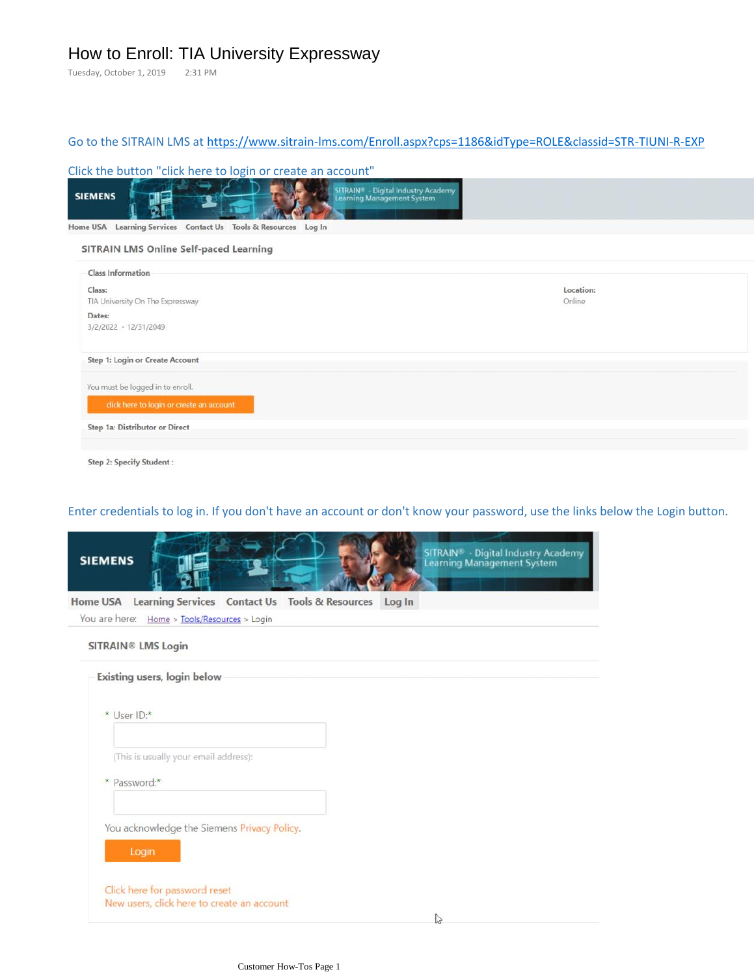# How to Enroll: TIA University Expressway

Tuesday, October 1, 2019 2:31 PM

# Go to the SITRAIN LMS at <https://www.sitrain-lms.com/Enroll.aspx?cps=1186&idType=ROLE&classid=STR-TIUNI-R-EXP>

#### Click the button "click here to login or create an account"

| <b>SIEMENS</b>                                                                                              | <b>SITRAIN®</b> - Digital Industry Academy<br>Learning Management System |
|-------------------------------------------------------------------------------------------------------------|--------------------------------------------------------------------------|
| Learning Services Contact Us Tools & Resources Log In<br>Home USA<br>SITRAIN LMS Online Self-paced Learning |                                                                          |
| Class Information                                                                                           |                                                                          |
| Class:<br>TIA University On The Expressway                                                                  | Location:<br>Online                                                      |
| Dates:<br>3/2/2022 - 12/31/2049                                                                             |                                                                          |
| Step 1: Login or Create Account                                                                             |                                                                          |
| You must be logged in to enroll.                                                                            |                                                                          |
| click here to login or create an account                                                                    |                                                                          |
| Step 1a: Distributor or Direct                                                                              |                                                                          |

## Enter credentials to log in. If you don't have an account or don't know your password, use the links below the Login button.

| <b>SIEMENS</b> | SITRAIN <sup>®</sup> - Digital Industry Academy<br>Learning Management System |
|----------------|-------------------------------------------------------------------------------|
|                | Home USA Learning Services Contact Us Tools & Resources Log In                |
|                | You are here: Home > Tools/Resources > Login                                  |
|                | <b>SITRAIN® LMS Login</b>                                                     |
|                | Existing users, login below                                                   |
|                | * User ID:*                                                                   |
|                | (This is usually your email address):                                         |
|                | * Password:*                                                                  |
|                | You acknowledge the Siemens Privacy Policy.<br>Login                          |
|                | Click here for password reset<br>New users, click here to create an account   |
|                | $\mathbb{Z}$                                                                  |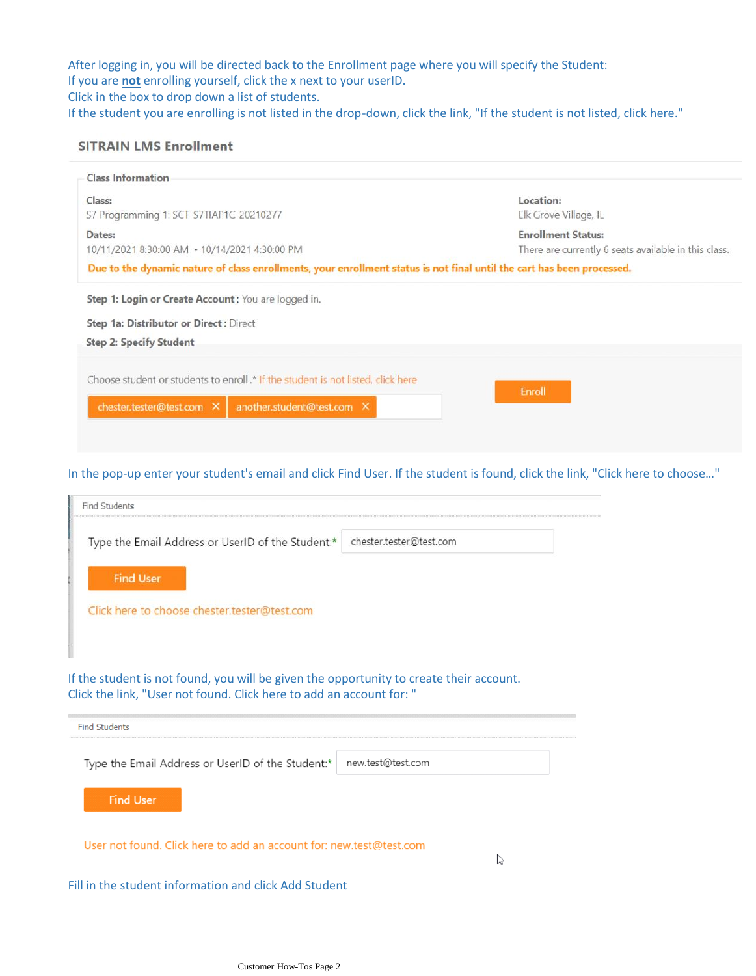After logging in, you will be directed back to the Enrollment page where you will specify the Student: If you are **not** enrolling yourself, click the x next to your userID. Click in the box to drop down a list of students.

If the student you are enrolling is not listed in the drop-down, click the link, "If the student is not listed, click here."

#### **SITRAIN LMS Enrollment**

| <b>Class Information</b>                                                                                               |                                                      |
|------------------------------------------------------------------------------------------------------------------------|------------------------------------------------------|
| Class:                                                                                                                 | Location:                                            |
| S7 Programming 1: SCT-S7TIAP1C-20210277                                                                                | Elk Grove Village, IL                                |
| Dates:                                                                                                                 | <b>Enrollment Status:</b>                            |
| 10/11/2021 8:30:00 AM - 10/14/2021 4:30:00 PM                                                                          | There are currently 6 seats available in this class. |
| Due to the dynamic nature of class enrollments, your enrollment status is not final until the cart has been processed. |                                                      |
| Step 1: Login or Create Account : You are logged in.                                                                   |                                                      |
| Step 1a: Distributor or Direct : Direct                                                                                |                                                      |
| <b>Step 2: Specify Student</b>                                                                                         |                                                      |
| Choose student or students to enroll .* If the student is not listed, click here                                       | Enroll                                               |
| another.student@test.com X<br>chester.tester@test.com X                                                                |                                                      |
|                                                                                                                        |                                                      |

### In the pop-up enter your student's email and click Find User. If the student is found, click the link, "Click here to choose…"

| Type the Email Address or UserID of the Student:*                                                                | chester.tester@test.com |
|------------------------------------------------------------------------------------------------------------------|-------------------------|
| <b>Find User</b>                                                                                                 |                         |
| Click here to choose chester.tester@test.com                                                                     |                         |
|                                                                                                                  |                         |
| If the student is not found, you will be given the opportunity to create their account.                          |                         |
|                                                                                                                  |                         |
|                                                                                                                  |                         |
|                                                                                                                  |                         |
| Type the Email Address or UserID of the Student:*                                                                | new.test@test.com       |
| Click the link, "User not found. Click here to add an account for: "<br><b>Find Students</b><br><b>Find User</b> |                         |

Fill in the student information and click Add Student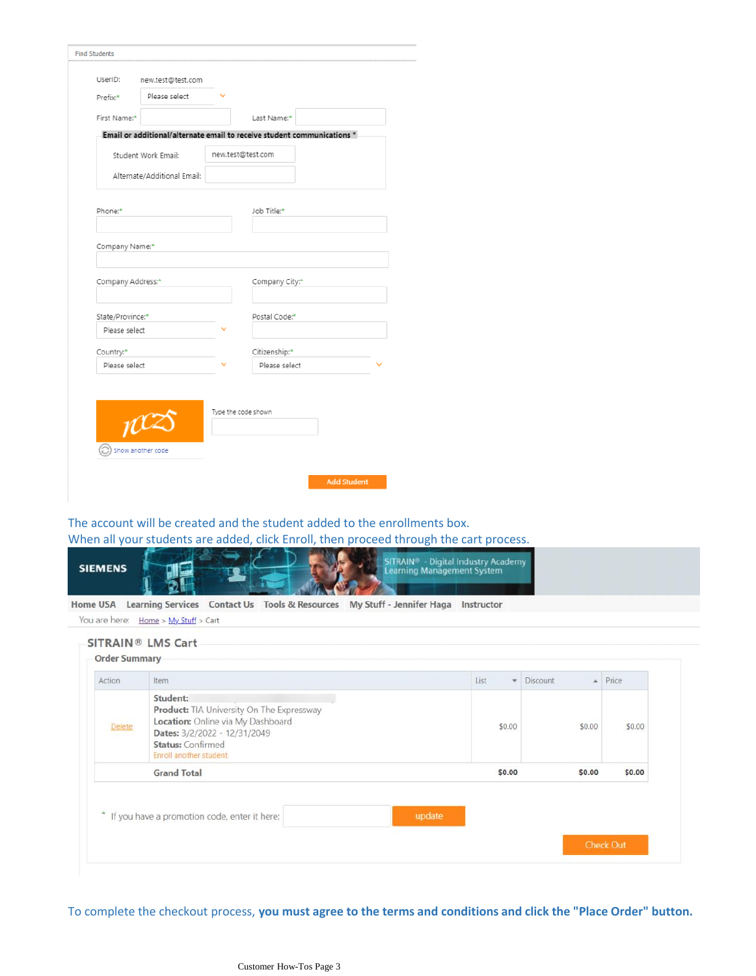| UserID:<br>new.test@test.com<br>Please select<br>Prefix:*<br>First Name:*<br>Last Name:*<br>Email or additional/alternate email to receive student communications *<br>new.test@test.com<br>Student Work Email:<br>Alternate/Additional Email:<br>Phone:*<br>Job Title:*<br>Company Name:*<br>Company Address:*<br>Company City:* |  |  |  |
|-----------------------------------------------------------------------------------------------------------------------------------------------------------------------------------------------------------------------------------------------------------------------------------------------------------------------------------|--|--|--|
|                                                                                                                                                                                                                                                                                                                                   |  |  |  |
|                                                                                                                                                                                                                                                                                                                                   |  |  |  |
|                                                                                                                                                                                                                                                                                                                                   |  |  |  |
|                                                                                                                                                                                                                                                                                                                                   |  |  |  |
|                                                                                                                                                                                                                                                                                                                                   |  |  |  |
|                                                                                                                                                                                                                                                                                                                                   |  |  |  |
|                                                                                                                                                                                                                                                                                                                                   |  |  |  |
|                                                                                                                                                                                                                                                                                                                                   |  |  |  |
|                                                                                                                                                                                                                                                                                                                                   |  |  |  |
| State/Province:*<br>Postal Code:*                                                                                                                                                                                                                                                                                                 |  |  |  |
| Please select                                                                                                                                                                                                                                                                                                                     |  |  |  |
| Citizenship:*<br>Country:*                                                                                                                                                                                                                                                                                                        |  |  |  |
| Please select<br>Please select                                                                                                                                                                                                                                                                                                    |  |  |  |
|                                                                                                                                                                                                                                                                                                                                   |  |  |  |
| Type the code shown                                                                                                                                                                                                                                                                                                               |  |  |  |
| $\mu$ cz                                                                                                                                                                                                                                                                                                                          |  |  |  |
| Show another code                                                                                                                                                                                                                                                                                                                 |  |  |  |

The account will be created and the student added to the enrollments box.

When all your students are added, click Enroll, then proceed through the cart process.



You are here: Home > My Stuff > Cart

#### **SITRAIN® LMS Cart**

| Student:<br>Product: TIA University On The Expressway<br>Location: Online via My Dashboard             |        |        |
|--------------------------------------------------------------------------------------------------------|--------|--------|
| Delete<br>\$0.00<br>Dates: 3/2/2022 - 12/31/2049<br><b>Status: Confirmed</b><br>Enroll another student | \$0.00 | \$0.00 |
| \$0.00<br><b>Grand Total</b>                                                                           | \$0.00 | \$0.00 |

To complete the checkout process, **you must agree to the terms and conditions and click the "Place Order" button.**